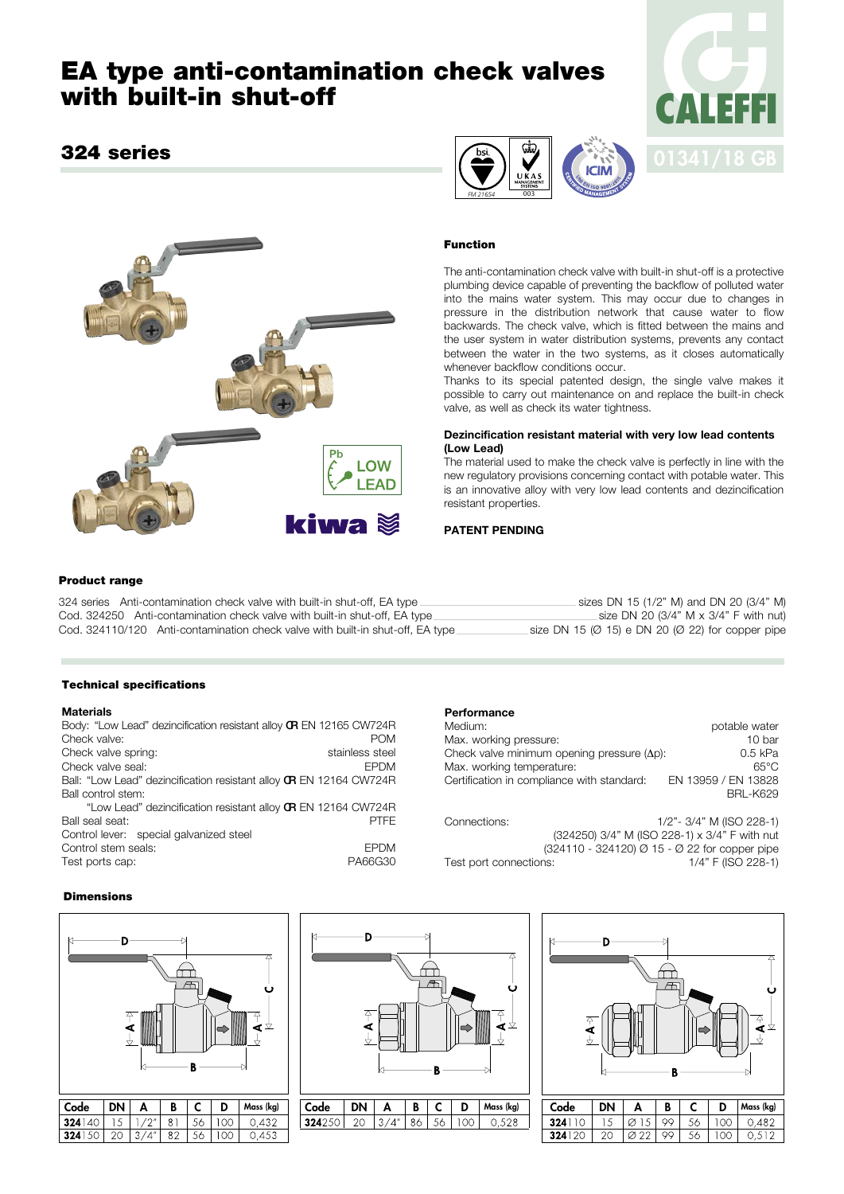# **EA type anti-contamination check valves with built-in shut-off**

# **324 series**







# **Function**

The anti-contamination check valve with built-in shut-off is a protective plumbing device capable of preventing the backflow of polluted water into the mains water system. This may occur due to changes in pressure in the distribution network that cause water to flow backwards. The check valve, which is fitted between the mains and the user system in water distribution systems, prevents any contact between the water in the two systems, as it closes automatically whenever backflow conditions occur.

Thanks to its special patented design, the single valve makes it possible to carry out maintenance on and replace the built-in check valve, as well as check its water tightness.

## **Dezincification resistant material with very low lead contents (Low Lead)**

The material used to make the check valve is perfectly in line with the new regulatory provisions concerning contact with potable water. This is an innovative alloy with very low lead contents and dezincification resistant properties.

# **PATENT PENDING**

# **Product range**

324 series Anti-contamination check valve with built-in shut-off, EA type sizes DN 15 (1/2" M) and DN 20 (3/4" M)<br>Cod. 324250 Anti-contamination check valve with built-in shut-off. EA type size DN 20 (3/4" M x 3/4" F with Cod. 324250 Anti-contamination check valve with built-in shut-off, EA type size DN 20 (3/4" M x 3/4" F with nut)<br>Cod. 324110/120 Anti-contamination check valve with built-in shut-off, EA type size DN 15 (Ø 15) e DN 20 (Ø 2 Cod. 324110/120 Anti-contamination check valve with built-in shut-off, EA type

# **Technical specifications**

## **Materials**

| Body: "Low Lead" dezincification resistant alloy <b>GR</b> EN 12165 CW724R |  |
|----------------------------------------------------------------------------|--|
| Check valve:<br><b>POM</b>                                                 |  |
| Check valve spring:<br>stainless steel                                     |  |
| Check valve seal:<br><b>FPDM</b>                                           |  |
| Ball: "Low Lead" dezincification resistant alloy <b>GR</b> EN 12164 CW724R |  |
| Ball control stem:                                                         |  |
| "Low Lead" dezincification resistant alloy <b>GR</b> EN 12164 CW724R       |  |
| Ball seal seat:<br><b>PTFE</b>                                             |  |
| Control lever: special galvanized steel                                    |  |
| Control stem seals:<br><b>EPDM</b>                                         |  |
| PA66G30<br>Test ports cap:                                                 |  |

#### **Performance**

| Medium:                                             | potable water       |
|-----------------------------------------------------|---------------------|
| Max. working pressure:                              | 10 bar              |
| Check valve minimum opening pressure $(\Delta p)$ : | $0.5$ kPa           |
| Max. working temperature:                           | 65°C                |
| Certification in compliance with standard:          | EN 13959 / EN 13828 |
|                                                     | <b>BRL-K629</b>     |
|                                                     |                     |

Connections: 1/2"- 3/4" M (ISO 228-1) (324250) 3/4" M (ISO 228-1) x 3/4" F with nut (324110 - 324120) Ø 15 - Ø 22 for copper pipe Test port connections: 1/4" F (ISO 228-1)

## **Dimensions**





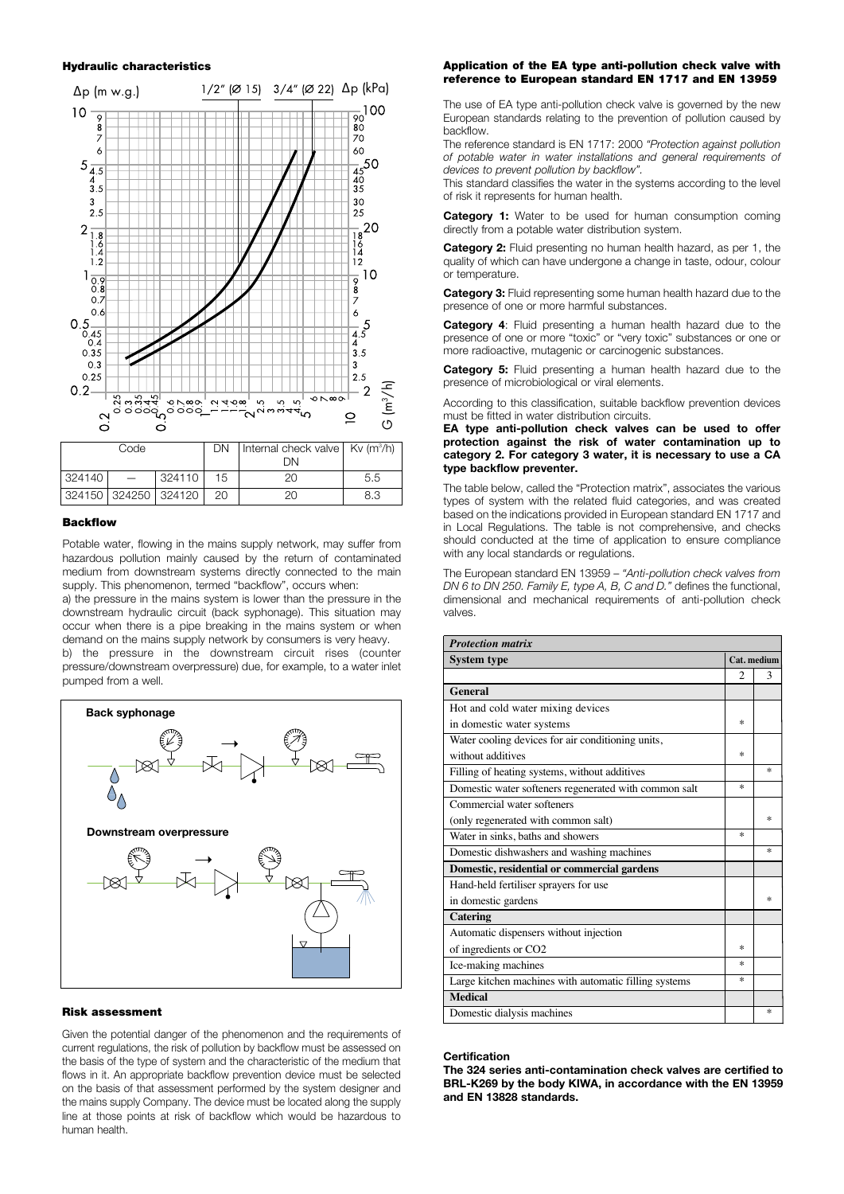#### **Hydraulic characteristics**



# **Backflow**

Potable water, flowing in the mains supply network, may suffer from hazardous pollution mainly caused by the return of contaminated medium from downstream systems directly connected to the main supply. This phenomenon, termed "backflow", occurs when:

a) the pressure in the mains system is lower than the pressure in the downstream hydraulic circuit (back syphonage). This situation may occur when there is a pipe breaking in the mains system or when demand on the mains supply network by consumers is very heavy. b) the pressure in the downstream circuit rises (counter

pressure/downstream overpressure) due, for example, to a water inlet pumped from a well.



#### **Risk assessment**

Given the potential danger of the phenomenon and the requirements of current regulations, the risk of pollution by backflow must be assessed on the basis of the type of system and the characteristic of the medium that flows in it. An appropriate backflow prevention device must be selected on the basis of that assessment performed by the system designer and the mains supply Company. The device must be located along the supply line at those points at risk of backflow which would be hazardous to human health.

#### **Application of the EA type anti-pollution check valve with reference to European standard EN 1717 and EN 13959**

The use of EA type anti-pollution check valve is governed by the new European standards relating to the prevention of pollution caused by backflow.

The reference standard is EN 1717: 2000 *"Protection against pollution of potable water in water installations and general requirements of devices to prevent pollution by backflow".*

This standard classifies the water in the systems according to the level of risk it represents for human health.

**Category 1:** Water to be used for human consumption coming directly from a potable water distribution system.

**Category 2:** Fluid presenting no human health hazard, as per 1, the quality of which can have undergone a change in taste, odour, colour or temperature.

**Category 3:** Fluid representing some human health hazard due to the presence of one or more harmful substances.

**Category 4**: Fluid presenting a human health hazard due to the presence of one or more "toxic" or "very toxic" substances or one or more radioactive, mutagenic or carcinogenic substances.

**Category 5:** Fluid presenting a human health hazard due to the presence of microbiological or viral elements.

According to this classification, suitable backflow prevention devices must be fitted in water distribution circuits.

**EA type anti-pollution check valves can be used to offer protection against the risk of water contamination up to category 2. For category 3 water, it is necessary to use a CA type backflow preventer.**

The table below, called the "Protection matrix", associates the various types of system with the related fluid categories, and was created based on the indications provided in European standard EN 1717 and in Local Regulations. The table is not comprehensive, and checks should conducted at the time of application to ensure compliance with any local standards or regulations.

The European standard EN 13959 – *"Anti-pollution check valves from DN 6 to DN 250. Family E, type A, B, C and D."* defines the functional, dimensional and mechanical requirements of anti-pollution check valves.

| <b>Protection matrix</b>                              |             |     |  |
|-------------------------------------------------------|-------------|-----|--|
| <b>System type</b>                                    | Cat. medium |     |  |
|                                                       | 2           | 3   |  |
| General                                               |             |     |  |
| Hot and cold water mixing devices                     |             |     |  |
| in domestic water systems                             | ×           |     |  |
| Water cooling devices for air conditioning units,     |             |     |  |
| without additives                                     | ×           |     |  |
| Filling of heating systems, without additives         |             | sk. |  |
| Domestic water softeners regenerated with common salt | ×.          |     |  |
| Commercial water softeners                            |             |     |  |
| (only regenerated with common salt)                   |             | sk. |  |
| Water in sinks, baths and showers                     | sk.         |     |  |
| Domestic dishwashers and washing machines             |             | 漱   |  |
| Domestic, residential or commercial gardens           |             |     |  |
| Hand-held fertiliser sprayers for use                 |             |     |  |
| in domestic gardens                                   |             | 冰   |  |
| Catering                                              |             |     |  |
| Automatic dispensers without injection                |             |     |  |
| of ingredients or CO2                                 | ×           |     |  |
| Ice-making machines                                   | ×.          |     |  |
| Large kitchen machines with automatic filling systems | ×.          |     |  |
| <b>Medical</b>                                        |             |     |  |
| Domestic dialysis machines                            |             | ×   |  |

#### **Certification**

**The 324 series anti-contamination check valves are certified to BRL-K269 by the body KIWA, in accordance with the EN 13959 and EN 13828 standards.**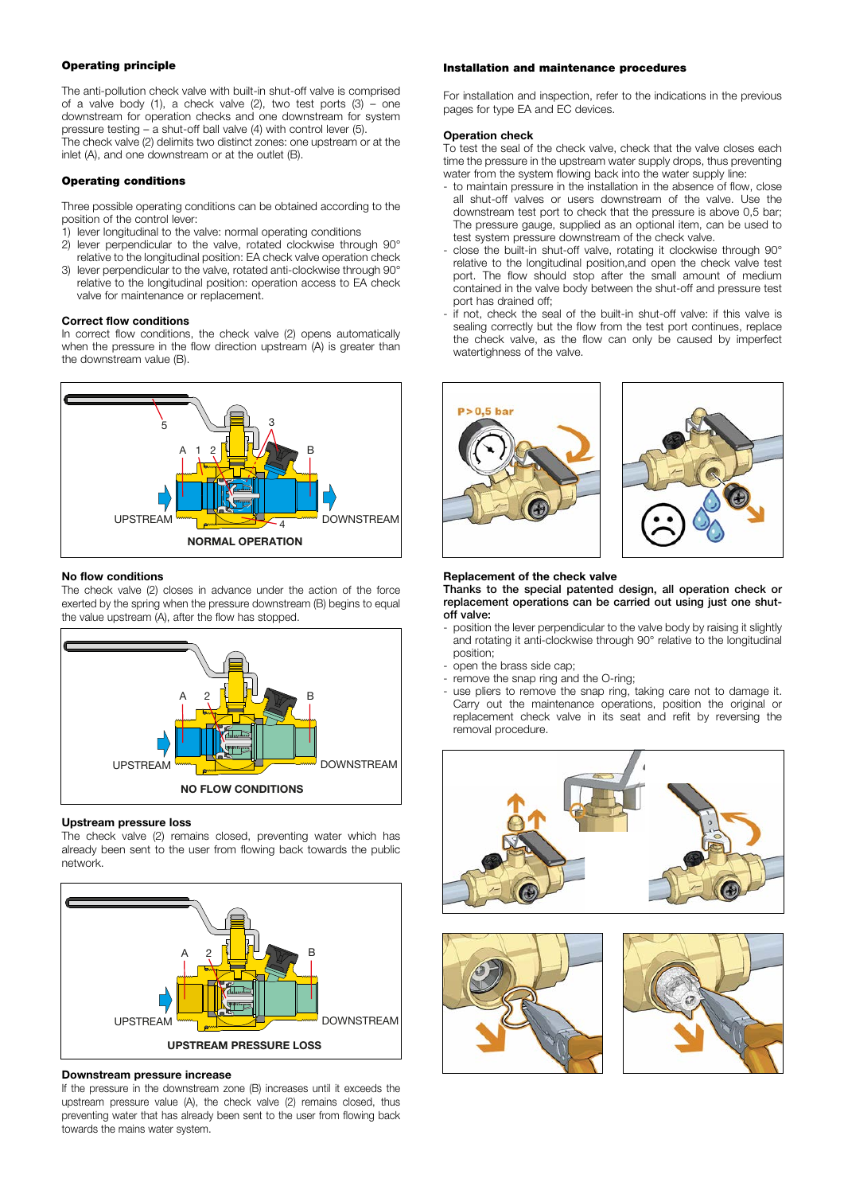# **Operating principle**

The anti-pollution check valve with built-in shut-off valve is comprised of a valve body (1), a check valve  $(2)$ , two test ports  $(3)$  – one downstream for operation checks and one downstream for system pressure testing – a shut-off ball valve (4) with control lever (5). The check valve (2) delimits two distinct zones: one upstream or at the inlet (A), and one downstream or at the outlet (B).

## **Operating conditions**

Three possible operating conditions can be obtained according to the position of the control lever:

- 1) lever longitudinal to the valve: normal operating conditions
- 2) lever perpendicular to the valve, rotated clockwise through 90° relative to the longitudinal position: EA check valve operation check
- 3) lever perpendicular to the valve, rotated anti-clockwise through 90° relative to the longitudinal position: operation access to EA check valve for maintenance or replacement.

#### **Correct flow conditions**

In correct flow conditions, the check valve (2) opens automatically when the pressure in the flow direction upstream (A) is greater than the downstream value (B).



#### **No flow conditions**

The check valve (2) closes in advance under the action of the force exerted by the spring when the pressure downstream (B) begins to equal the value upstream (A), after the flow has stopped.



## **Upstream pressure loss**

The check valve (2) remains closed, preventing water which has already been sent to the user from flowing back towards the public network.



# **Downstream pressure increase**

If the pressure in the downstream zone (B) increases until it exceeds the upstream pressure value (A), the check valve (2) remains closed, thus preventing water that has already been sent to the user from flowing back towards the mains water system.

# **Installation and maintenance procedures**

For installation and inspection, refer to the indications in the previous pages for type EA and EC devices.

#### **Operation check**

To test the seal of the check valve, check that the valve closes each time the pressure in the upstream water supply drops, thus preventing water from the system flowing back into the water supply line:

- to maintain pressure in the installation in the absence of flow, close all shut-off valves or users downstream of the valve. Use the downstream test port to check that the pressure is above 0,5 bar; The pressure gauge, supplied as an optional item, can be used to test system pressure downstream of the check valve.
- close the built-in shut-off valve, rotating it clockwise through 90° relative to the longitudinal position,and open the check valve test port. The flow should stop after the small amount of medium contained in the valve body between the shut-off and pressure test port has drained off;
- if not, check the seal of the built-in shut-off valve: if this valve is sealing correctly but the flow from the test port continues, replace the check valve, as the flow can only be caused by imperfect watertighness of the valve.





#### **Replacement of the check valve**

**Thanks to the special patented design, all operation check or replacement operations can be carried out using just one shutoff valve:**

- position the lever perpendicular to the valve body by raising it slightly and rotating it anti-clockwise through 90° relative to the longitudinal position;
- open the brass side cap;
- remove the snap ring and the O-ring;
- use pliers to remove the snap ring, taking care not to damage it. Carry out the maintenance operations, position the original or replacement check valve in its seat and refit by reversing the removal procedure.